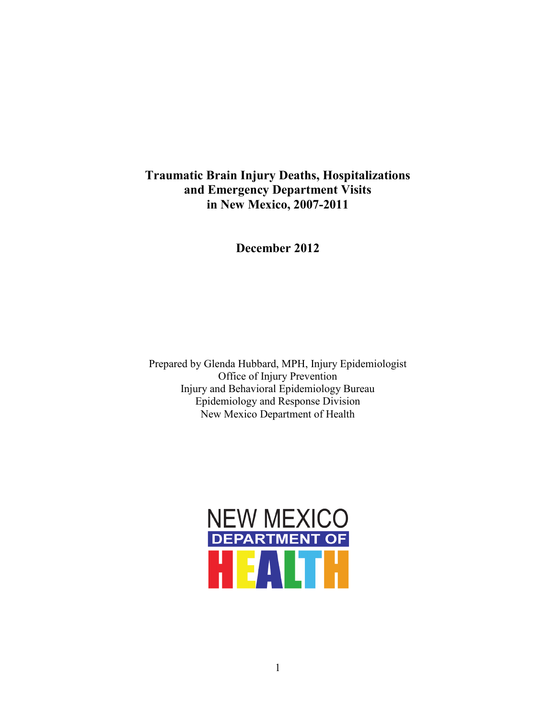## **Traumatic Brain Injury Deaths, Hospitalizations and Emergency Department Visits in New Mexico, 2007-2011**

**December 2012**

Prepared by Glenda Hubbard, MPH, Injury Epidemiologist Office of Injury Prevention Injury and Behavioral Epidemiology Bureau Epidemiology and Response Division New Mexico Department of Health

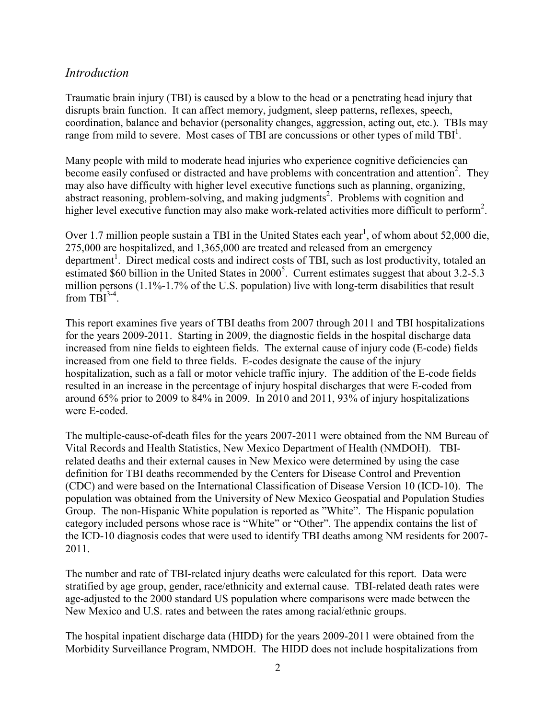#### *Introduction*

Traumatic brain injury (TBI) is caused by a blow to the head or a penetrating head injury that disrupts brain function. It can affect memory, judgment, sleep patterns, reflexes, speech, coordination, balance and behavior (personality changes, aggression, acting out, etc.). TBIs may range from mild to severe. Most cases of TBI are concussions or other types of mild  $TBI<sup>1</sup>$ .

Many people with mild to moderate head injuries who experience cognitive deficiencies can become easily confused or distracted and have problems with concentration and attention<sup>2</sup>. They may also have difficulty with higher level executive functions such as planning, organizing, abstract reasoning, problem-solving, and making judgments<sup>2</sup>. Problems with cognition and higher level executive function may also make work-related activities more difficult to perform<sup>2</sup>.

Over 1.7 million people sustain a TBI in the United States each year<sup>1</sup>, of whom about 52,000 die, 275,000 are hospitalized, and 1,365,000 are treated and released from an emergency department<sup>1</sup>. Direct medical costs and indirect costs of TBI, such as lost productivity, totaled an estimated \$60 billion in the United States in 2000<sup>5</sup>. Current estimates suggest that about 3.2-5.3 million persons (1.1%-1.7% of the U.S. population) live with long-term disabilities that result from  $TBI^{3-4}$ .

This report examines five years of TBI deaths from 2007 through 2011 and TBI hospitalizations for the years 2009-2011. Starting in 2009, the diagnostic fields in the hospital discharge data increased from nine fields to eighteen fields. The external cause of injury code (E-code) fields increased from one field to three fields. E-codes designate the cause of the injury hospitalization, such as a fall or motor vehicle traffic injury. The addition of the E-code fields resulted in an increase in the percentage of injury hospital discharges that were E-coded from around 65% prior to 2009 to 84% in 2009. In 2010 and 2011, 93% of injury hospitalizations were E-coded.

The multiple-cause-of-death files for the years 2007-2011 were obtained from the NM Bureau of Vital Records and Health Statistics, New Mexico Department of Health (NMDOH). TBIrelated deaths and their external causes in New Mexico were determined by using the case definition for TBI deaths recommended by the Centers for Disease Control and Prevention (CDC) and were based on the International Classification of Disease Version 10 (ICD-10). The population was obtained from the University of New Mexico Geospatial and Population Studies Group. The non-Hispanic White population is reported as "White". The Hispanic population category included persons whose race is "White" or "Other". The appendix contains the list of the ICD-10 diagnosis codes that were used to identify TBI deaths among NM residents for 2007- 2011.

The number and rate of TBI-related injury deaths were calculated for this report. Data were stratified by age group, gender, race/ethnicity and external cause. TBI-related death rates were age-adjusted to the 2000 standard US population where comparisons were made between the New Mexico and U.S. rates and between the rates among racial/ethnic groups.

The hospital inpatient discharge data (HIDD) for the years 2009-2011 were obtained from the Morbidity Surveillance Program, NMDOH. The HIDD does not include hospitalizations from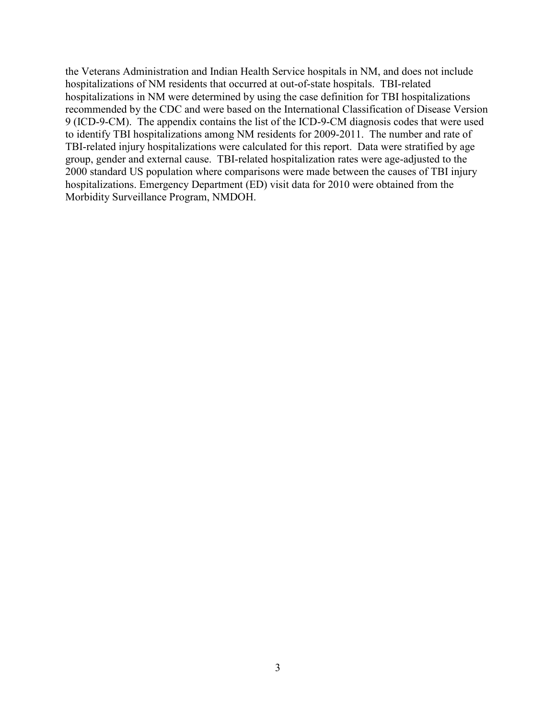the Veterans Administration and Indian Health Service hospitals in NM, and does not include hospitalizations of NM residents that occurred at out-of-state hospitals. TBI-related hospitalizations in NM were determined by using the case definition for TBI hospitalizations recommended by the CDC and were based on the International Classification of Disease Version 9 (ICD-9-CM). The appendix contains the list of the ICD-9-CM diagnosis codes that were used to identify TBI hospitalizations among NM residents for 2009-2011. The number and rate of TBI-related injury hospitalizations were calculated for this report. Data were stratified by age group, gender and external cause. TBI-related hospitalization rates were age-adjusted to the 2000 standard US population where comparisons were made between the causes of TBI injury hospitalizations. Emergency Department (ED) visit data for 2010 were obtained from the Morbidity Surveillance Program, NMDOH.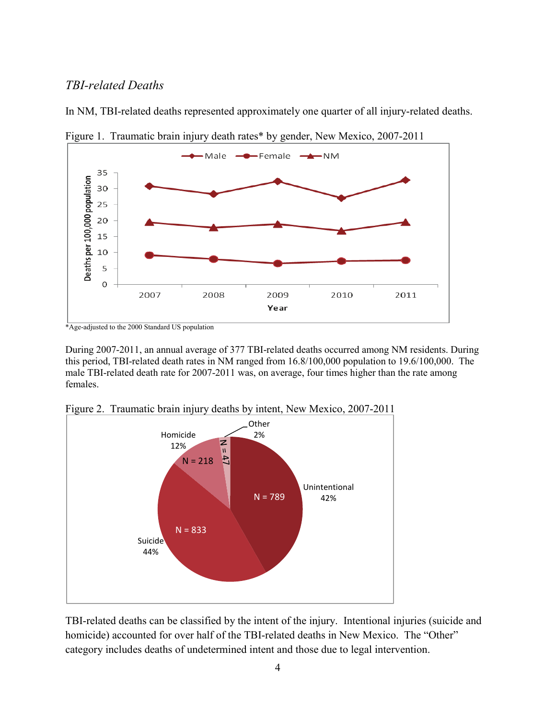### *TBI-related Deaths*





In NM, TBI-related deaths represented approximately one quarter of all injury-related deaths.

During 2007-2011, an annual average of 377 TBI-related deaths occurred among NM residents. During this period, TBI-related death rates in NM ranged from 16.8/100,000 population to 19.6/100,000. The male TBI-related death rate for 2007-2011 was, on average, four times higher than the rate among females.



Figure 2. Traumatic brain injury deaths by intent, New Mexico, 2007-2011

TBI-related deaths can be classified by the intent of the injury. Intentional injuries (suicide and homicide) accounted for over half of the TBI-related deaths in New Mexico. The "Other" category includes deaths of undetermined intent and those due to legal intervention.

<sup>\*</sup>Age-adjusted to the 2000 Standard US population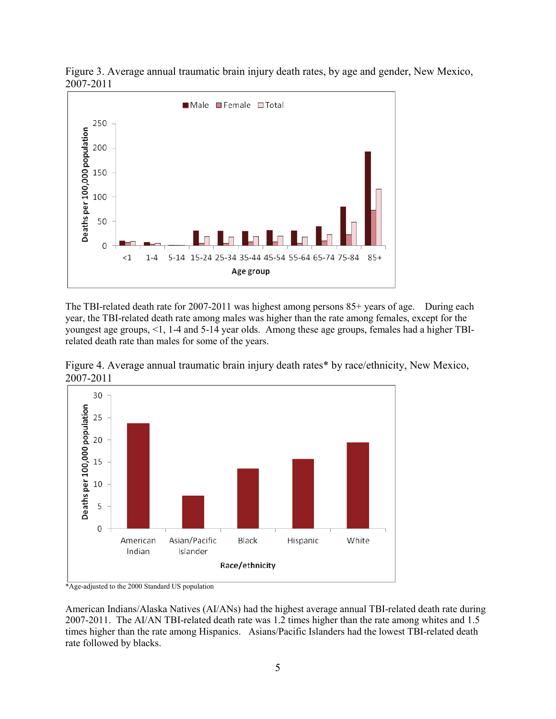

Figure 3. Average annual traumatic brain injury death rates, by age and gender, New Mexico, 2007-2011

The TBI-related death rate for 2007-2011 was highest among persons 85+ years of age. During each year, the TBI-related death rate among males was higher than the rate among females, except for the youngest age groups, <1, 1-4 and 5-14 year olds. Among these age groups, females had a higher TBIrelated death rate than males for some of the years.





\*Age-adjusted to the 2000 Standard US population

American Indians/Alaska Natives (AI/ANs) had the highest average annual TBI-related death rate during 2007-2011. The AI/AN TBI-related death rate was 1.2 times higher than the rate among whites and 1.5 times higher than the rate among Hispanics. Asians/Pacific Islanders had the lowest TBI-related death rate followed by blacks.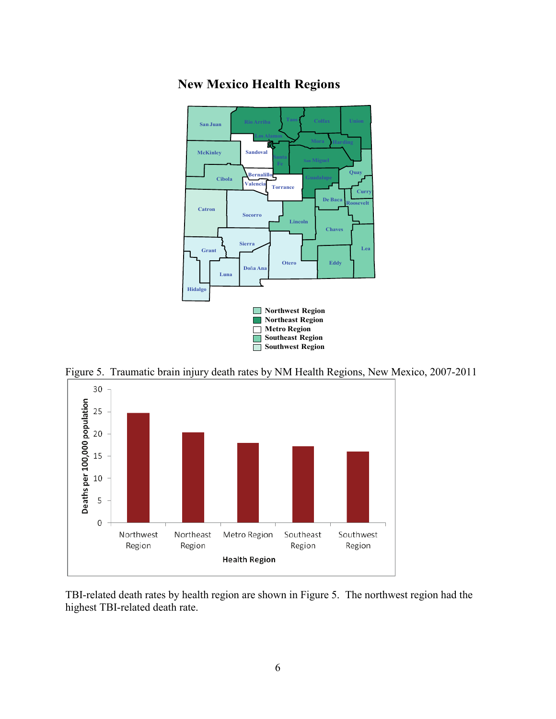

# **New Mexico Health Regions**

Figure 5. Traumatic brain injury death rates by NM Health Regions, New Mexico, 2007-2011



TBI-related death rates by health region are shown in Figure 5. The northwest region had the highest TBI-related death rate.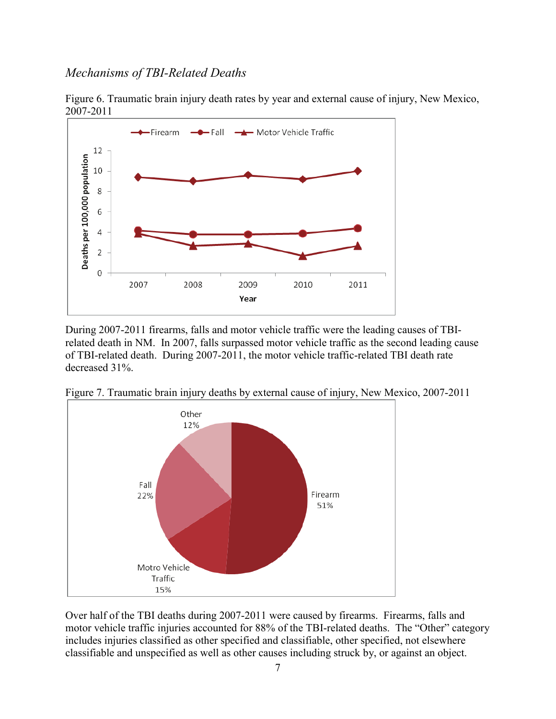#### *Mechanisms of TBI-Related Deaths*





During 2007-2011 firearms, falls and motor vehicle traffic were the leading causes of TBIrelated death in NM. In 2007, falls surpassed motor vehicle traffic as the second leading cause of TBI-related death. During 2007-2011, the motor vehicle traffic-related TBI death rate decreased 31%.



Figure 7. Traumatic brain injury deaths by external cause of injury, New Mexico, 2007-2011

Over half of the TBI deaths during 2007-2011 were caused by firearms. Firearms, falls and motor vehicle traffic injuries accounted for 88% of the TBI-related deaths. The "Other" category includes injuries classified as other specified and classifiable, other specified, not elsewhere classifiable and unspecified as well as other causes including struck by, or against an object.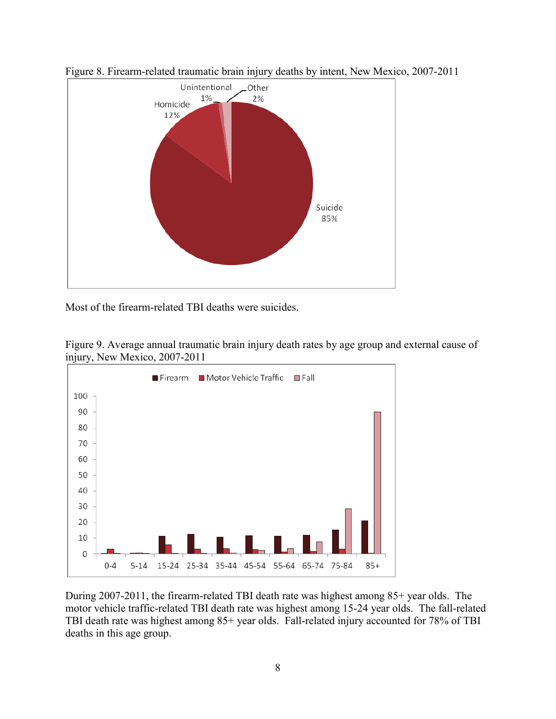

Figure 8. Firearm-related traumatic brain injury deaths by intent, New Mexico, 2007-2011

Most of the firearm-related TBI deaths were suicides.





During 2007-2011, the firearm-related TBI death rate was highest among 85+ year olds. The motor vehicle traffic-related TBI death rate was highest among 15-24 year olds. The fall-related TBI death rate was highest among 85+ year olds. Fall-related injury accounted for 78% of TBI deaths in this age group.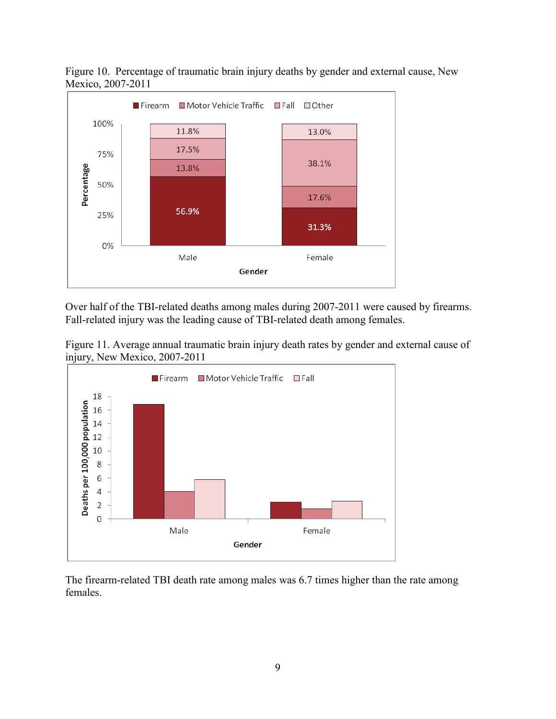

Figure 10. Percentage of traumatic brain injury deaths by gender and external cause, New Mexico, 2007-2011

Over half of the TBI-related deaths among males during 2007-2011 were caused by firearms. Fall-related injury was the leading cause of TBI-related death among females.

Figure 11. Average annual traumatic brain injury death rates by gender and external cause of injury, New Mexico, 2007-2011



The firearm-related TBI death rate among males was 6.7 times higher than the rate among females.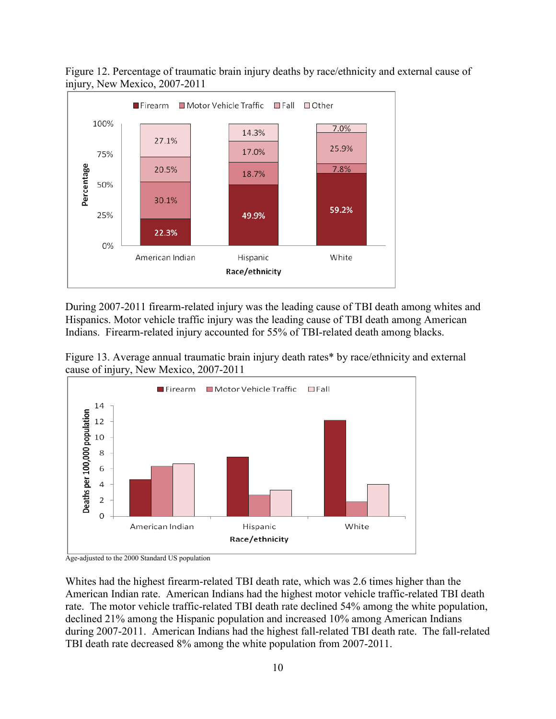

Figure 12. Percentage of traumatic brain injury deaths by race/ethnicity and external cause of injury, New Mexico, 2007-2011

During 2007-2011 firearm-related injury was the leading cause of TBI death among whites and Hispanics. Motor vehicle traffic injury was the leading cause of TBI death among American Indians. Firearm-related injury accounted for 55% of TBI-related death among blacks.





Age-adjusted to the 2000 Standard US population

Whites had the highest firearm-related TBI death rate, which was 2.6 times higher than the American Indian rate. American Indians had the highest motor vehicle traffic-related TBI death rate. The motor vehicle traffic-related TBI death rate declined 54% among the white population, declined 21% among the Hispanic population and increased 10% among American Indians during 2007-2011. American Indians had the highest fall-related TBI death rate. The fall-related TBI death rate decreased 8% among the white population from 2007-2011.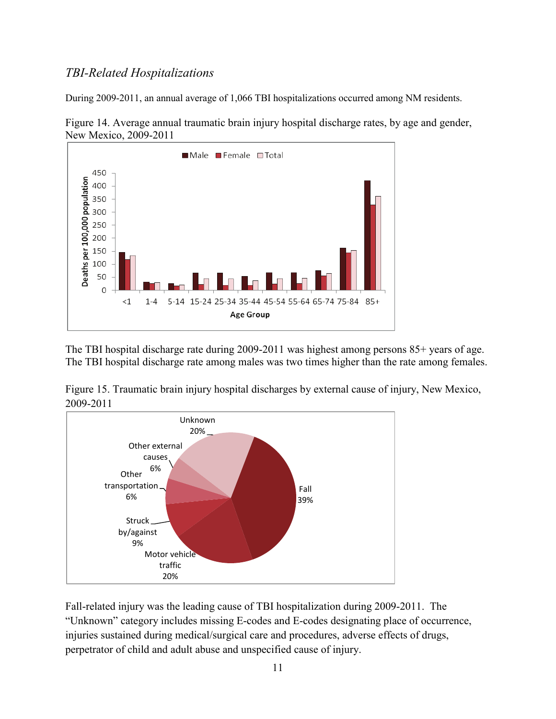## *TBI-Related Hospitalizations*

During 2009-2011, an annual average of 1,066 TBI hospitalizations occurred among NM residents.



Figure 14. Average annual traumatic brain injury hospital discharge rates, by age and gender, New Mexico, 2009-2011

The TBI hospital discharge rate during 2009-2011 was highest among persons 85+ years of age. The TBI hospital discharge rate among males was two times higher than the rate among females.

Figure 15. Traumatic brain injury hospital discharges by external cause of injury, New Mexico, 2009-2011



Fall-related injury was the leading cause of TBI hospitalization during 2009-2011. The "Unknown" category includes missing E-codes and E-codes designating place of occurrence, injuries sustained during medical/surgical care and procedures, adverse effects of drugs, perpetrator of child and adult abuse and unspecified cause of injury.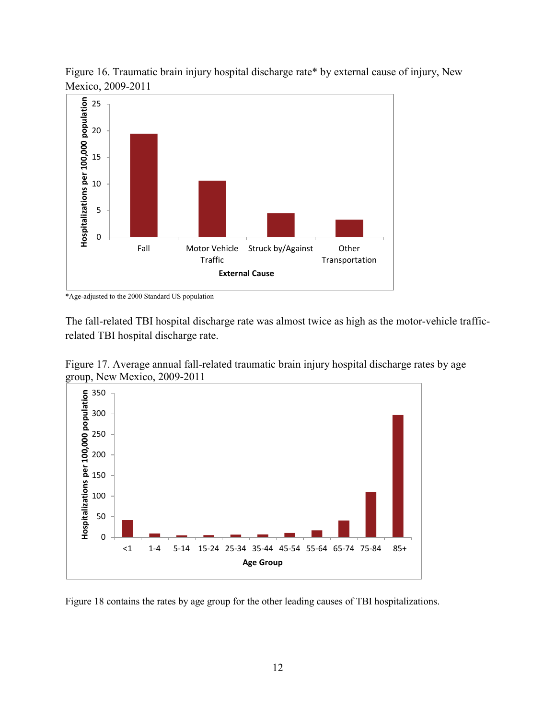

Figure 16. Traumatic brain injury hospital discharge rate\* by external cause of injury, New Mexico, 2009-2011

\*Age-adjusted to the 2000 Standard US population

The fall-related TBI hospital discharge rate was almost twice as high as the motor-vehicle trafficrelated TBI hospital discharge rate.





Figure 18 contains the rates by age group for the other leading causes of TBI hospitalizations.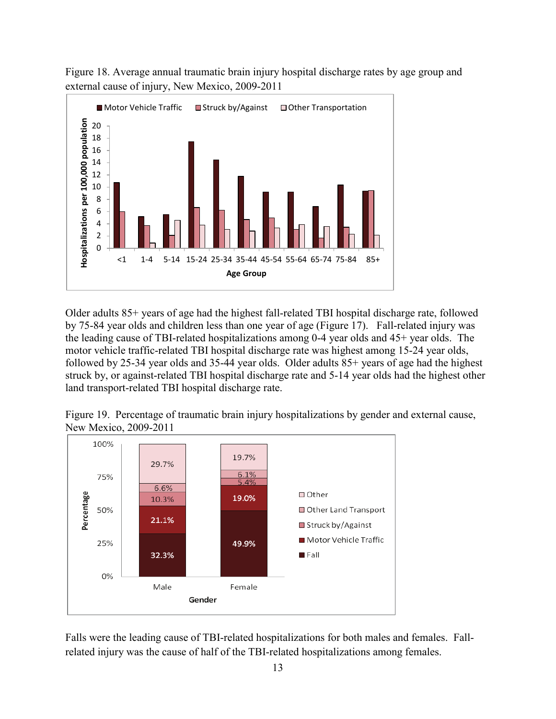



Older adults 85+ years of age had the highest fall-related TBI hospital discharge rate, followed by 75-84 year olds and children less than one year of age (Figure 17). Fall-related injury was the leading cause of TBI-related hospitalizations among 0-4 year olds and 45+ year olds. The motor vehicle traffic-related TBI hospital discharge rate was highest among 15-24 year olds, followed by 25-34 year olds and 35-44 year olds. Older adults 85+ years of age had the highest struck by, or against-related TBI hospital discharge rate and 5-14 year olds had the highest other land transport-related TBI hospital discharge rate.

Figure 19. Percentage of traumatic brain injury hospitalizations by gender and external cause, New Mexico, 2009-2011



Falls were the leading cause of TBI-related hospitalizations for both males and females. Fallrelated injury was the cause of half of the TBI-related hospitalizations among females.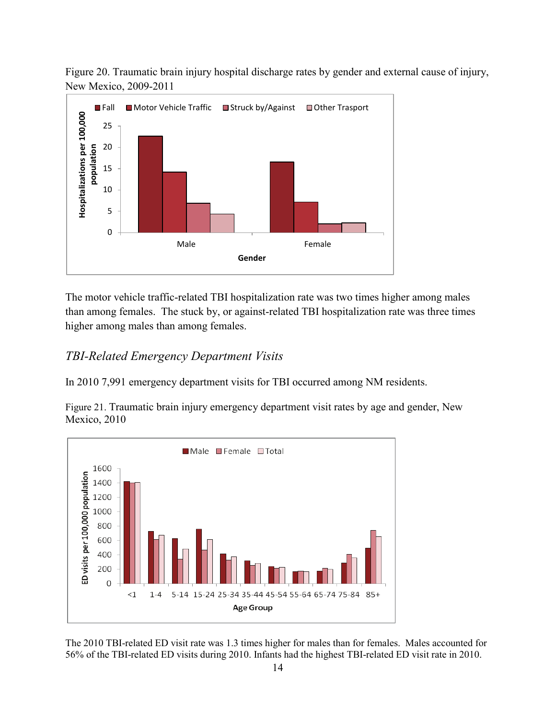Figure 20. Traumatic brain injury hospital discharge rates by gender and external cause of injury, New Mexico, 2009-2011



The motor vehicle traffic-related TBI hospitalization rate was two times higher among males than among females. The stuck by, or against-related TBI hospitalization rate was three times higher among males than among females.

# *TBI-Related Emergency Department Visits*

In 2010 7,991 emergency department visits for TBI occurred among NM residents.

Figure 21. Traumatic brain injury emergency department visit rates by age and gender, New Mexico, 2010



The 2010 TBI-related ED visit rate was 1.3 times higher for males than for females. Males accounted for 56% of the TBI-related ED visits during 2010. Infants had the highest TBI-related ED visit rate in 2010.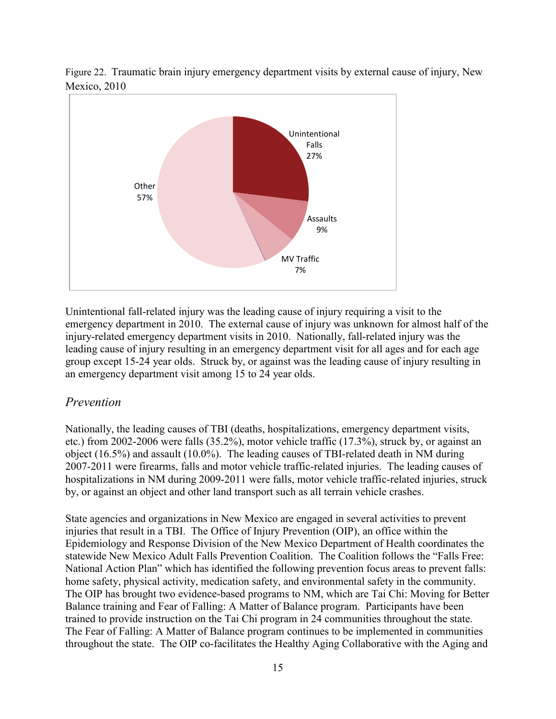

Figure 22. Traumatic brain injury emergency department visits by external cause of injury, New Mexico, 2010

Unintentional fall-related injury was the leading cause of injury requiring a visit to the emergency department in 2010. The external cause of injury was unknown for almost half of the injury-related emergency department visits in 2010. Nationally, fall-related injury was the leading cause of injury resulting in an emergency department visit for all ages and for each age group except 15-24 year olds. Struck by, or against was the leading cause of injury resulting in an emergency department visit among 15 to 24 year olds.

#### *Prevention*

Nationally, the leading causes of TBI (deaths, hospitalizations, emergency department visits, etc.) from 2002-2006 were falls (35.2%), motor vehicle traffic (17.3%), struck by, or against an object (16.5%) and assault (10.0%). The leading causes of TBI-related death in NM during 2007-2011 were firearms, falls and motor vehicle traffic-related injuries. The leading causes of hospitalizations in NM during 2009-2011 were falls, motor vehicle traffic-related injuries, struck by, or against an object and other land transport such as all terrain vehicle crashes.

State agencies and organizations in New Mexico are engaged in several activities to prevent injuries that result in a TBI. The Office of Injury Prevention (OIP), an office within the Epidemiology and Response Division of the New Mexico Department of Health coordinates the statewide New Mexico Adult Falls Prevention Coalition. The Coalition follows the "Falls Free: National Action Plan" which has identified the following prevention focus areas to prevent falls: home safety, physical activity, medication safety, and environmental safety in the community. The OIP has brought two evidence-based programs to NM, which are Tai Chi: Moving for Better Balance training and Fear of Falling: A Matter of Balance program. Participants have been trained to provide instruction on the Tai Chi program in 24 communities throughout the state. The Fear of Falling: A Matter of Balance program continues to be implemented in communities throughout the state. The OIP co-facilitates the Healthy Aging Collaborative with the Aging and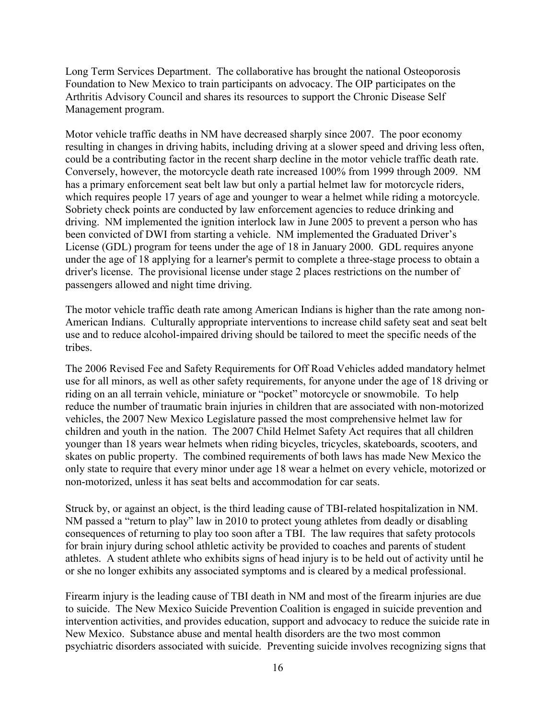Long Term Services Department. The collaborative has brought the national Osteoporosis Foundation to New Mexico to train participants on advocacy. The OIP participates on the Arthritis Advisory Council and shares its resources to support the Chronic Disease Self Management program.

Motor vehicle traffic deaths in NM have decreased sharply since 2007. The poor economy resulting in changes in driving habits, including driving at a slower speed and driving less often, could be a contributing factor in the recent sharp decline in the motor vehicle traffic death rate. Conversely, however, the motorcycle death rate increased 100% from 1999 through 2009. NM has a primary enforcement seat belt law but only a partial helmet law for motorcycle riders, which requires people 17 years of age and younger to wear a helmet while riding a motorcycle. Sobriety check points are conducted by law enforcement agencies to reduce drinking and driving. NM implemented the ignition interlock law in June 2005 to prevent a person who has been convicted of DWI from starting a vehicle. NM implemented the Graduated Driver's License (GDL) program for teens under the age of 18 in January 2000. GDL requires anyone under the age of 18 applying for a learner's permit to complete a three-stage process to obtain a driver's license. The provisional license under stage 2 places restrictions on the number of passengers allowed and night time driving.

The motor vehicle traffic death rate among American Indians is higher than the rate among non-American Indians. Culturally appropriate interventions to increase child safety seat and seat belt use and to reduce alcohol-impaired driving should be tailored to meet the specific needs of the tribes.

The 2006 Revised Fee and Safety Requirements for Off Road Vehicles added mandatory helmet use for all minors, as well as other safety requirements, for anyone under the age of 18 driving or riding on an all terrain vehicle, miniature or "pocket" motorcycle or snowmobile. To help reduce the number of traumatic brain injuries in children that are associated with non-motorized vehicles, the 2007 New Mexico Legislature passed the most comprehensive helmet law for children and youth in the nation. The 2007 Child Helmet Safety Act requires that all children younger than 18 years wear helmets when riding bicycles, tricycles, skateboards, scooters, and skates on public property. The combined requirements of both laws has made New Mexico the only state to require that every minor under age 18 wear a helmet on every vehicle, motorized or non-motorized, unless it has seat belts and accommodation for car seats.

Struck by, or against an object, is the third leading cause of TBI-related hospitalization in NM. NM passed a "return to play" law in 2010 to protect young athletes from deadly or disabling consequences of returning to play too soon after a TBI. The law requires that safety protocols for brain injury during school athletic activity be provided to coaches and parents of student athletes. A student athlete who exhibits signs of head injury is to be held out of activity until he or she no longer exhibits any associated symptoms and is cleared by a medical professional.

Firearm injury is the leading cause of TBI death in NM and most of the firearm injuries are due to suicide. The New Mexico Suicide Prevention Coalition is engaged in suicide prevention and intervention activities, and provides education, support and advocacy to reduce the suicide rate in New Mexico. Substance abuse and mental health disorders are the two most common psychiatric disorders associated with suicide. Preventing suicide involves recognizing signs that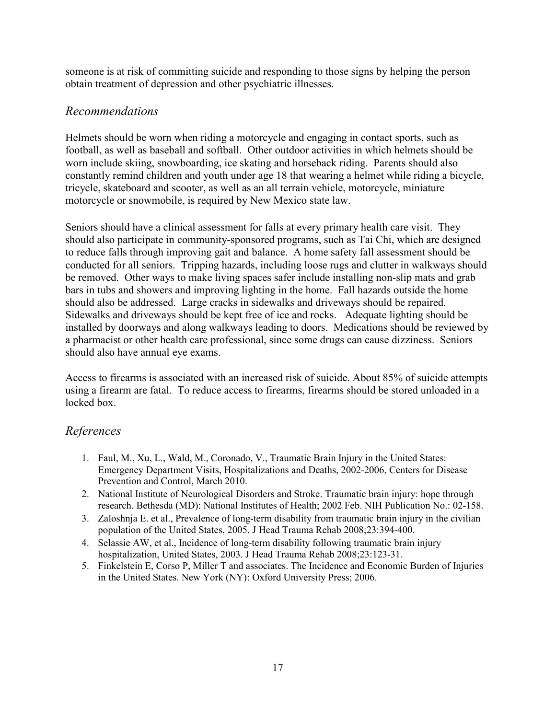someone is at risk of committing suicide and responding to those signs by helping the person obtain treatment of depression and other psychiatric illnesses.

## *Recommendations*

Helmets should be worn when riding a motorcycle and engaging in contact sports, such as football, as well as baseball and softball. Other outdoor activities in which helmets should be worn include skiing, snowboarding, ice skating and horseback riding. Parents should also constantly remind children and youth under age 18 that wearing a helmet while riding a bicycle, tricycle, skateboard and scooter, as well as an all terrain vehicle, motorcycle, miniature motorcycle or snowmobile, is required by New Mexico state law.

Seniors should have a clinical assessment for falls at every primary health care visit. They should also participate in community-sponsored programs, such as Tai Chi, which are designed to reduce falls through improving gait and balance. A home safety fall assessment should be conducted for all seniors. Tripping hazards, including loose rugs and clutter in walkways should be removed. Other ways to make living spaces safer include installing non-slip mats and grab bars in tubs and showers and improving lighting in the home. Fall hazards outside the home should also be addressed. Large cracks in sidewalks and driveways should be repaired. Sidewalks and driveways should be kept free of ice and rocks. Adequate lighting should be installed by doorways and along walkways leading to doors. Medications should be reviewed by a pharmacist or other health care professional, since some drugs can cause dizziness. Seniors should also have annual eye exams.

Access to firearms is associated with an increased risk of suicide. About 85% of suicide attempts using a firearm are fatal. To reduce access to firearms, firearms should be stored unloaded in a locked box.

# *References*

- 1. Faul, M., Xu, L., Wald, M., Coronado, V., Traumatic Brain Injury in the United States: Emergency Department Visits, Hospitalizations and Deaths, 2002-2006, Centers for Disease Prevention and Control, March 2010.
- 2. National Institute of Neurological Disorders and Stroke. Traumatic brain injury: hope through research. Bethesda (MD): National Institutes of Health; 2002 Feb. NIH Publication No.: 02-158.
- 3. Zaloshnja E. et al., Prevalence of long-term disability from traumatic brain injury in the civilian population of the United States, 2005. J Head Trauma Rehab 2008;23:394-400.
- 4. Selassie AW, et al., Incidence of long-term disability following traumatic brain injury hospitalization, United States, 2003. J Head Trauma Rehab 2008;23:123-31.
- 5. Finkelstein E, Corso P, Miller T and associates. The Incidence and Economic Burden of Injuries in the United States. New York (NY): Oxford University Press; 2006.